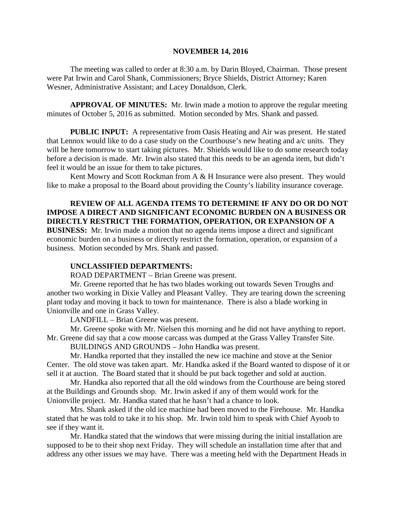#### **NOVEMBER 14, 2016**

The meeting was called to order at 8:30 a.m. by Darin Bloyed, Chairman. Those present were Pat Irwin and Carol Shank, Commissioners; Bryce Shields, District Attorney; Karen Wesner, Administrative Assistant; and Lacey Donaldson, Clerk.

**APPROVAL OF MINUTES:** Mr. Irwin made a motion to approve the regular meeting minutes of October 5, 2016 as submitted. Motion seconded by Mrs. Shank and passed.

**PUBLIC INPUT:** A representative from Oasis Heating and Air was present. He stated that Lennox would like to do a case study on the Courthouse's new heating and a/c units. They will be here tomorrow to start taking pictures. Mr. Shields would like to do some research today before a decision is made. Mr. Irwin also stated that this needs to be an agenda item, but didn't feel it would be an issue for them to take pictures.

Kent Mowry and Scott Rockman from A & H Insurance were also present. They would like to make a proposal to the Board about providing the County's liability insurance coverage.

**REVIEW OF ALL AGENDA ITEMS TO DETERMINE IF ANY DO OR DO NOT IMPOSE A DIRECT AND SIGNIFICANT ECONOMIC BURDEN ON A BUSINESS OR DIRECTLY RESTRICT THE FORMATION, OPERATION, OR EXPANSION OF A BUSINESS:** Mr. Irwin made a motion that no agenda items impose a direct and significant economic burden on a business or directly restrict the formation, operation, or expansion of a business. Motion seconded by Mrs. Shank and passed.

### **UNCLASSIFIED DEPARTMENTS:**

ROAD DEPARTMENT – Brian Greene was present.

Mr. Greene reported that he has two blades working out towards Seven Troughs and another two working in Dixie Valley and Pleasant Valley. They are tearing down the screening plant today and moving it back to town for maintenance. There is also a blade working in Unionville and one in Grass Valley.

LANDFILL – Brian Greene was present.

Mr. Greene spoke with Mr. Nielsen this morning and he did not have anything to report. Mr. Greene did say that a cow moose carcass was dumped at the Grass Valley Transfer Site.

BUILDINGS AND GROUNDS – John Handka was present.

Mr. Handka reported that they installed the new ice machine and stove at the Senior Center. The old stove was taken apart. Mr. Handka asked if the Board wanted to dispose of it or sell it at auction. The Board stated that it should be put back together and sold at auction.

Mr. Handka also reported that all the old windows from the Courthouse are being stored at the Buildings and Grounds shop. Mr. Irwin asked if any of them would work for the Unionville project. Mr. Handka stated that he hasn't had a chance to look.

Mrs. Shank asked if the old ice machine had been moved to the Firehouse. Mr. Handka stated that he was told to take it to his shop. Mr. Irwin told him to speak with Chief Ayoob to see if they want it.

Mr. Handka stated that the windows that were missing during the initial installation are supposed to be to their shop next Friday. They will schedule an installation time after that and address any other issues we may have. There was a meeting held with the Department Heads in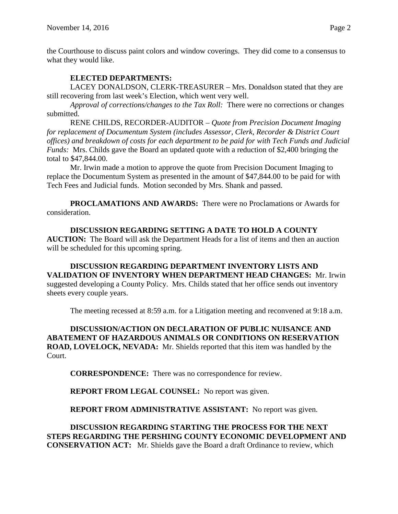the Courthouse to discuss paint colors and window coverings. They did come to a consensus to what they would like.

# **ELECTED DEPARTMENTS:**

LACEY DONALDSON, CLERK-TREASURER – Mrs. Donaldson stated that they are still recovering from last week's Election, which went very well.

*Approval of corrections/changes to the Tax Roll:* There were no corrections or changes submitted.

RENE CHILDS, RECORDER-AUDITOR – *Quote from Precision Document Imaging for replacement of Documentum System (includes Assessor, Clerk, Recorder & District Court offices) and breakdown of costs for each department to be paid for with Tech Funds and Judicial Funds:* Mrs. Childs gave the Board an updated quote with a reduction of \$2,400 bringing the total to \$47,844.00.

Mr. Irwin made a motion to approve the quote from Precision Document Imaging to replace the Documentum System as presented in the amount of \$47,844.00 to be paid for with Tech Fees and Judicial funds. Motion seconded by Mrs. Shank and passed.

**PROCLAMATIONS AND AWARDS:** There were no Proclamations or Awards for consideration.

**DISCUSSION REGARDING SETTING A DATE TO HOLD A COUNTY AUCTION:** The Board will ask the Department Heads for a list of items and then an auction will be scheduled for this upcoming spring.

**DISCUSSION REGARDING DEPARTMENT INVENTORY LISTS AND VALIDATION OF INVENTORY WHEN DEPARTMENT HEAD CHANGES:** Mr. Irwin suggested developing a County Policy. Mrs. Childs stated that her office sends out inventory sheets every couple years.

The meeting recessed at 8:59 a.m. for a Litigation meeting and reconvened at 9:18 a.m.

**DISCUSSION/ACTION ON DECLARATION OF PUBLIC NUISANCE AND ABATEMENT OF HAZARDOUS ANIMALS OR CONDITIONS ON RESERVATION ROAD, LOVELOCK, NEVADA:** Mr. Shields reported that this item was handled by the Court.

**CORRESPONDENCE:** There was no correspondence for review.

**REPORT FROM LEGAL COUNSEL:** No report was given.

**REPORT FROM ADMINISTRATIVE ASSISTANT:** No report was given.

**DISCUSSION REGARDING STARTING THE PROCESS FOR THE NEXT STEPS REGARDING THE PERSHING COUNTY ECONOMIC DEVELOPMENT AND CONSERVATION ACT:** Mr. Shields gave the Board a draft Ordinance to review, which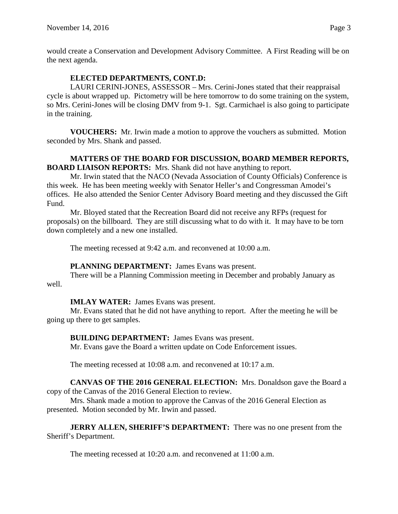would create a Conservation and Development Advisory Committee. A First Reading will be on the next agenda.

# **ELECTED DEPARTMENTS, CONT.D:**

LAURI CERINI-JONES, ASSESSOR – Mrs. Cerini-Jones stated that their reappraisal cycle is about wrapped up. Pictometry will be here tomorrow to do some training on the system, so Mrs. Cerini-Jones will be closing DMV from 9-1. Sgt. Carmichael is also going to participate in the training.

**VOUCHERS:** Mr. Irwin made a motion to approve the vouchers as submitted. Motion seconded by Mrs. Shank and passed.

### **MATTERS OF THE BOARD FOR DISCUSSION, BOARD MEMBER REPORTS, BOARD LIAISON REPORTS:** Mrs. Shank did not have anything to report.

Mr. Irwin stated that the NACO (Nevada Association of County Officials) Conference is this week. He has been meeting weekly with Senator Heller's and Congressman Amodei's offices. He also attended the Senior Center Advisory Board meeting and they discussed the Gift Fund.

Mr. Bloyed stated that the Recreation Board did not receive any RFPs (request for proposals) on the billboard. They are still discussing what to do with it. It may have to be torn down completely and a new one installed.

The meeting recessed at 9:42 a.m. and reconvened at 10:00 a.m.

# **PLANNING DEPARTMENT:** James Evans was present.

There will be a Planning Commission meeting in December and probably January as well.

# **IMLAY WATER:** James Evans was present.

Mr. Evans stated that he did not have anything to report. After the meeting he will be going up there to get samples.

**BUILDING DEPARTMENT:** James Evans was present.

Mr. Evans gave the Board a written update on Code Enforcement issues.

The meeting recessed at 10:08 a.m. and reconvened at 10:17 a.m.

**CANVAS OF THE 2016 GENERAL ELECTION:** Mrs. Donaldson gave the Board a copy of the Canvas of the 2016 General Election to review.

Mrs. Shank made a motion to approve the Canvas of the 2016 General Election as presented. Motion seconded by Mr. Irwin and passed.

**JERRY ALLEN, SHERIFF'S DEPARTMENT:** There was no one present from the Sheriff's Department.

The meeting recessed at 10:20 a.m. and reconvened at 11:00 a.m.